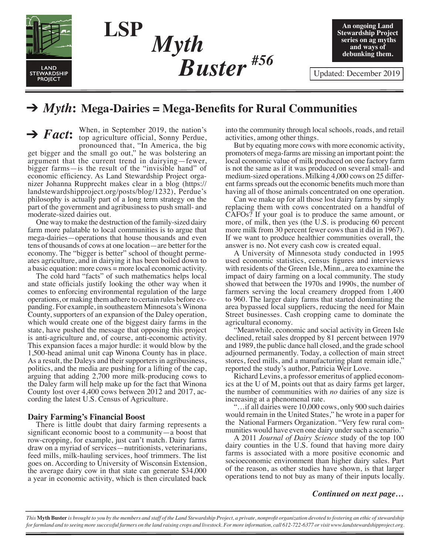

*Myth*<br>**Ruster**#56 *Myth Buster*

**An ongoing Land Stewardship Project series on ag myths and ways of debunking them.**

# → *Myth*: Mega-Dairies = Mega-Benefits for Rural Communities

*Fact***:**  $\ddot{\phantom{a}}$ When, in September 2019, the nation's top agriculture official, Sonny Perdue, pronounced that, "In America, the big get bigger and the small go out," he was bolstering an argument that the current trend in dairying—fewer, bigger farms—is the result of the "invisible hand" of economic efficiency. As Land Stewardship Project organizer Johanna Rupprecht makes clear in a blog (https:// landstewardshipproject.org/posts/blog/1232), Perdue's philosophy is actually part of a long term strategy on the part of the government and agribusiness to push small- and moderate-sized dairies out.

**LSP**

One way to make the destruction of the family-sized dairy farm more palatable to local communities is to argue that mega-dairies—operations that house thousands and even tens of thousands of cows at one location—are better for the economy. The "bigger is better" school of thought permeates agriculture, and in dairying it has been boiled down to a basic equation: more cows = more local economic activity.

The cold hard "facts" of such mathematics helps local and state officials justify looking the other way when it comes to enforcing environmental regulation of the large operations, or making them adhere to certain rules before expanding. For example, in southeastern Minnesota's Winona County, supporters of an expansion of the Daley operation, which would create one of the biggest dairy farms in the state, have pushed the message that opposing this project is anti-agriculture and, of course, anti-economic activity. This expansion faces a major hurdle: it would blow by the 1,500-head animal unit cap Winona County has in place. As a result, the Daleys and their supporters in agribusiness, politics, and the media are pushing for a lifting of the cap, arguing that adding 2,700 more milk-producing cows to the Daley farm will help make up for the fact that Winona County lost over 4,400 cows between 2012 and 2017, according the latest U.S. Census of Agriculture.

# **Dairy Farming's Financial Boost**

There is little doubt that dairy farming represents a significant economic boost to a community—a boost that row-cropping, for example, just can't match. Dairy farms draw on a myriad of services—nutritionists, veterinarians, feed mills, milk-hauling services, hoof trimmers. The list goes on. According to University of Wisconsin Extension, the average dairy cow in that state can generate \$34,000 a year in economic activity, which is then circulated back

into the community through local schools, roads, and retail activities, among other things.

But by equating more cows with more economic activity, promoters of mega-farms are missing an important point: the local economic value of milk produced on one factory farm is not the same as if it was produced on several small- and medium-sized operations. Milking 4,000 cows on 25 different farms spreads out the economic benefits much more than having all of those animals concentrated on one operation.

Can we make up for all those lost dairy farms by simply replacing them with cows concentrated on a handful of CAFOs? If your goal is to produce the same amount, or more, of milk, then yes (the U.S. is producing 60 percent more milk from 30 percent fewer cows than it did in 1967). If we want to produce healthier communities overall, the answer is no. Not every cash cow is created equal.

A University of Minnesota study conducted in 1995 used economic statistics, census figures and interviews with residents of the Green Isle, Minn., area to examine the impact of dairy farming on a local community. The study showed that between the 1970s and 1990s, the number of farmers serving the local creamery dropped from 1,400 to 960. The larger dairy farms that started dominating the area bypassed local suppliers, reducing the need for Main Street businesses. Cash cropping came to dominate the agricultural economy.

"Meanwhile, economic and social activity in Green Isle declined, retail sales dropped by 81 percent between 1979 and 1989, the public dance hall closed, and the grade school adjourned permanently. Today, a collection of main street stores, feed mills, and a manufacturing plant remain idle," reported the study's author, Patricia Weir Love.

Richard Levins, a professor emeritus of applied economics at the U of M, points out that as dairy farms get larger, the number of communities with *no* dairies of any size is increasing at a phenomenal rate.

"…if all dairies were 10,000 cows, only 900 such dairies would remain in the United States," he wrote in a paper for the National Farmers Organization. "Very few rural communities would have even one dairy under such a scenario."

A 2011 *Journal of Dairy Science* study of the top 100 dairy counties in the U.S. found that having more dairy farms is associated with a more positive economic and socioeconomic environment than higher dairy sales. Part of the reason, as other studies have shown, is that larger operations tend to not buy as many of their inputs locally.

### *Continued on next page…*

*This* **Myth Buster** *is brought to you by the members and staff of the Land Stewardship Project, a private, nonprofit organization devoted to fostering an ethic of stewardship for farmland and to seeing more successful farmers on the land raising crops and livestock. For more information, call 612-722-6377 or visit www.landstewardshipproject.org.*